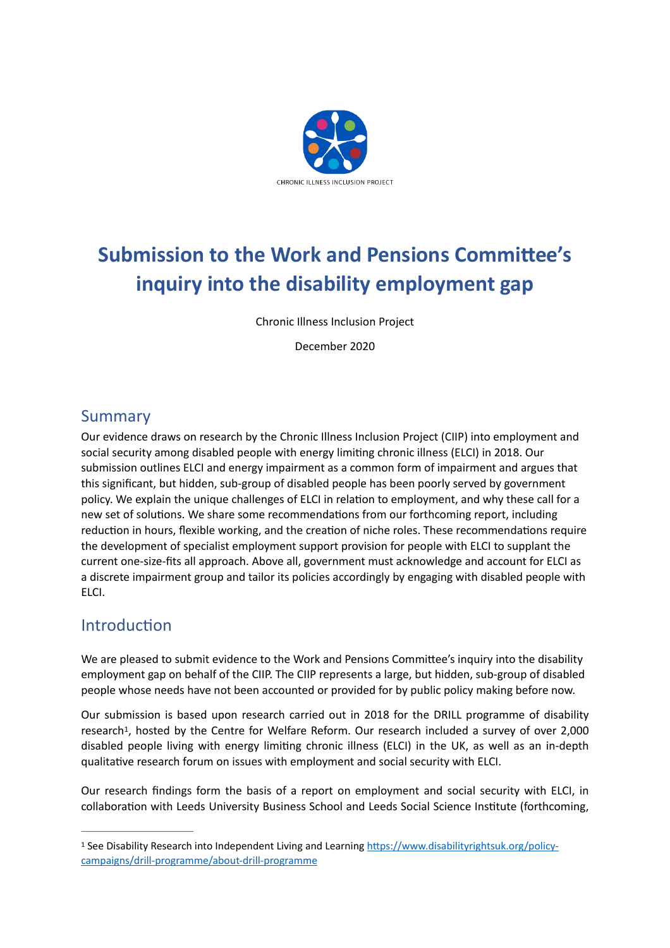

# **Submission to the Work and Pensions Committee's inquiry into the disability employment gap**

Chronic Illness Inclusion Project

December 2020

# Summary

Our evidence draws on research by the Chronic Illness Inclusion Project (CIIP) into employment and social security among disabled people with energy limiting chronic illness (ELCI) in 2018. Our submission outlines ELCI and energy impairment as a common form of impairment and argues that this significant, but hidden, sub-group of disabled people has been poorly served by government policy. We explain the unique challenges of ELCI in relation to employment, and why these call for a new set of solutions. We share some recommendations from our forthcoming report, including reduction in hours, flexible working, and the creation of niche roles. These recommendations require the development of specialist employment support provision for people with ELCI to supplant the current one-size-fits all approach. Above all, government must acknowledge and account for ELCI as a discrete impairment group and tailor its policies accordingly by engaging with disabled people with ELCI.

# Introduction

We are pleased to submit evidence to the Work and Pensions Committee's inquiry into the disability employment gap on behalf of the CIIP. The CIIP represents a large, but hidden, sub-group of disabled people whose needs have not been accounted or provided for by public policy making before now.

<span id="page-0-1"></span>Our submission is based upon research carried out in 2018 for the DRILL programme of disability research<sup>[1](#page-0-0)</sup>, hosted by the Centre for Welfare Reform. Our research included a survey of over 2,000 disabled people living with energy limiting chronic illness (ELCI) in the UK, as well as an in-depth qualitative research forum on issues with employment and social security with ELCI.

Our research findings form the basis of a report on employment and social security with ELCI, in collaboration with Leeds University Business School and Leeds Social Science Institute (forthcoming,

<span id="page-0-0"></span><sup>&</sup>lt;sup>1</sup> See Disability Research into Independent Living and Learning [https://www.disabilityrightsuk.org/policy](https://www.disabilityrightsuk.org/policy-campaigns/drill-programme/about-drill-programme) [campaigns/drill-programme/about-drill-programme](https://www.disabilityrightsuk.org/policy-campaigns/drill-programme/about-drill-programme)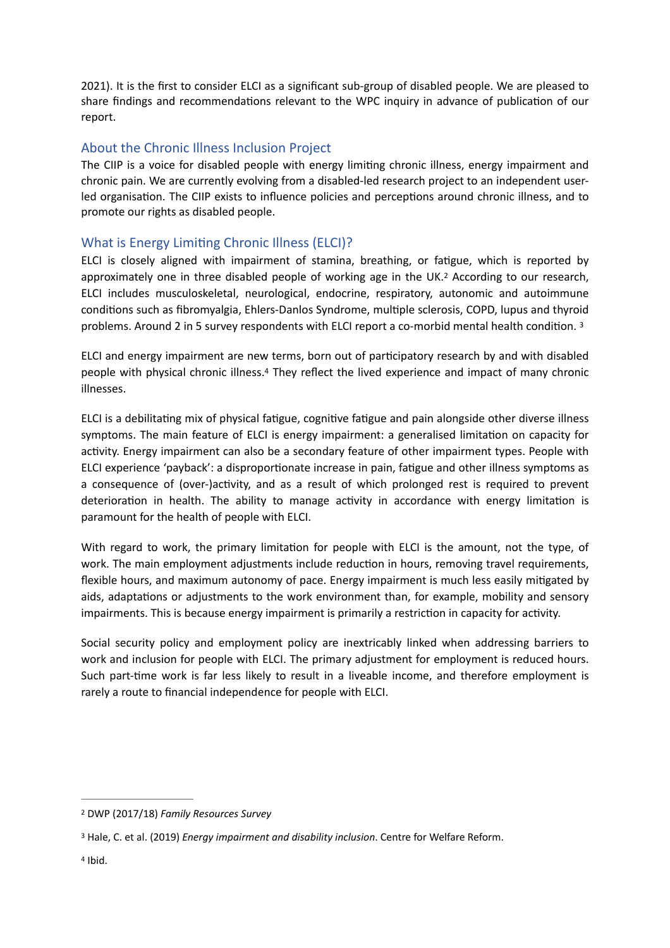2021). It is the first to consider ELCI as a significant sub-group of disabled people. We are pleased to share findings and recommendations relevant to the WPC inquiry in advance of publication of our report.

### About the Chronic Illness Inclusion Project

The CIIP is a voice for disabled people with energy limiting chronic illness, energy impairment and chronic pain. We are currently evolving from a disabled-led research project to an independent userled organisation. The CIIP exists to influence policies and perceptions around chronic illness, and to promote our rights as disabled people.

### What is Energy Limiting Chronic Illness (ELCI)?

<span id="page-1-3"></span>ELCI is closely aligned with impairment of stamina, breathing, or fatigue, which is reported by approximately one in three disabled people of working age in the UK.<sup>[2](#page-1-0)</sup> According to our research, ELCI includes musculoskeletal, neurological, endocrine, respiratory, autonomic and autoimmune conditions such as fibromyalgia, Ehlers-Danlos Syndrome, multiple sclerosis, COPD, lupus and thyroid problems. Around 2 in 5 survey respondents with ELCI report a co-morbid mental health condition. [3](#page-1-1)

<span id="page-1-5"></span><span id="page-1-4"></span>ELCI and energy impairment are new terms, born out of participatory research by and with disabled people with physical chronic illness.<sup>[4](#page-1-2)</sup> They reflect the lived experience and impact of many chronic illnesses.

ELCI is a debilitating mix of physical fatigue, cognitive fatigue and pain alongside other diverse illness symptoms. The main feature of ELCI is energy impairment: a generalised limitation on capacity for activity. Energy impairment can also be a secondary feature of other impairment types. People with ELCI experience 'payback': a disproportionate increase in pain, fatigue and other illness symptoms as a consequence of (over-)activity, and as a result of which prolonged rest is required to prevent deterioration in health. The ability to manage activity in accordance with energy limitation is paramount for the health of people with ELCI.

With regard to work, the primary limitation for people with ELCI is the amount, not the type, of work. The main employment adjustments include reduction in hours, removing travel requirements, flexible hours, and maximum autonomy of pace. Energy impairment is much less easily mitigated by aids, adaptations or adjustments to the work environment than, for example, mobility and sensory impairments. This is because energy impairment is primarily a restriction in capacity for activity.

Social security policy and employment policy are inextricably linked when addressing barriers to work and inclusion for people with ELCI. The primary adjustment for employment is reduced hours. Such part-time work is far less likely to result in a liveable income, and therefore employment is rarely a route to financial independence for people with ELCI.

<span id="page-1-0"></span>[<sup>2</sup>](#page-1-3) DWP (2017/18) *Family Resources Survey*

<span id="page-1-1"></span><sup>&</sup>lt;sup>[3](#page-1-4)</sup> Hale, C. et al. (2019) *Energy impairment and disability inclusion*. Centre for Welfare Reform.

<span id="page-1-2"></span> $4$  Ibid.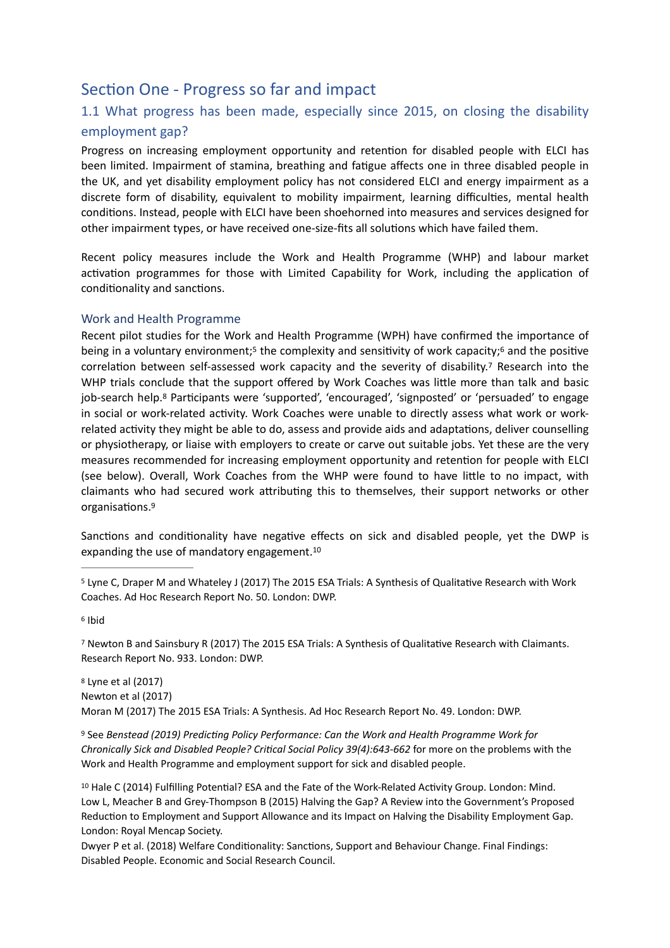# Section One - Progress so far and impact

# 1.1 What progress has been made, especially since 2015, on closing the disability employment gap?

Progress on increasing employment opportunity and retention for disabled people with ELCI has been limited. Impairment of stamina, breathing and fatigue affects one in three disabled people in the UK, and yet disability employment policy has not considered ELCI and energy impairment as a discrete form of disability, equivalent to mobility impairment, learning difficulties, mental health conditions. Instead, people with ELCI have been shoehorned into measures and services designed for other impairment types, or have received one-size-fits all solutions which have failed them.

Recent policy measures include the Work and Health Programme (WHP) and labour market activation programmes for those with Limited Capability for Work, including the application of conditionality and sanctions.

#### Work and Health Programme

<span id="page-2-9"></span><span id="page-2-8"></span><span id="page-2-7"></span><span id="page-2-6"></span>Recent pilot studies for the Work and Health Programme (WPH) have confirmed the importance of being in a voluntary environment[;](#page-2-0)<sup>[5](#page-2-0)</sup> the complexity and sensitivity of work capacity;<sup>6</sup> and the positive correlation between self-assessed work capacity and the severity of disability.<sup>[7](#page-2-2)</sup> Research into the WHP trials conclude that the support offered by Work Coaches was little more than talk and basic job-search help[.](#page-2-3)<sup>[8](#page-2-3)</sup> Participants were 'supported', 'encouraged', 'signposted' or 'persuaded' to engage in social or work-related activity. Work Coaches were unable to directly assess what work or workrelated activity they might be able to do, assess and provide aids and adaptations, deliver counselling or physiotherapy, or liaise with employers to create or carve out suitable jobs. Yet these are the very measures recommended for increasing employment opportunity and retention for people with ELCI (see below). Overall, Work Coaches from the WHP were found to have little to no impact, with claimants who had secured work attributing this to themselves, their support networks or other organisations[.9](#page-2-4)

<span id="page-2-11"></span><span id="page-2-10"></span>Sanctions and conditionality have negative effects on sick and disabled people, yet the DWP is expanding the use of mandatory engagement.[10](#page-2-5)

<span id="page-2-2"></span><sup>[7](#page-2-8)</sup> Newton B and Sainsbury R (2017) The 2015 ESA Trials: A Synthesis of Qualitative Research with Claimants. Research Report No. 933. London: DWP.

<span id="page-2-3"></span> Lyne et al (2017) [8](#page-2-9) Newton et al (2017) Moran M (2017) The 2015 ESA Trials: A Synthesis. Ad Hoc Research Report No. 49. London: DWP.

<span id="page-2-4"></span> See *Benstead (2019) Predicting Policy Performance: Can the Work and Health Programme Work for* [9](#page-2-10) *Chronically Sick and Disabled People? Critical Social Policy 39(4):643-662* for more on the problems with the Work and Health Programme and employment support for sick and disabled people.

<span id="page-2-5"></span><sup>[10](#page-2-11)</sup> Hale C (2014) Fulfilling Potential? ESA and the Fate of the Work-Related Activity Group. London: Mind. Low L, Meacher B and Grey-Thompson B (2015) Halving the Gap? A Review into the Government's Proposed Reduction to Employment and Support Allowance and its Impact on Halving the Disability Employment Gap. London: Royal Mencap Society.

Dwyer P et al. (2018) Welfare Conditionality: Sanctions, Support and Behaviour Change. Final Findings: Disabled People. Economic and Social Research Council.

<span id="page-2-0"></span><sup>&</sup>lt;sup>[5](#page-2-6)</sup> Lyne C, Draper M and Whateley J (2017) The 2015 ESA Trials: A Synthesis of Qualitative Research with Work Coaches. Ad Hoc Research Report No. 50. London: DWP.

<span id="page-2-1"></span>[<sup>6</sup>](#page-2-7) Ibid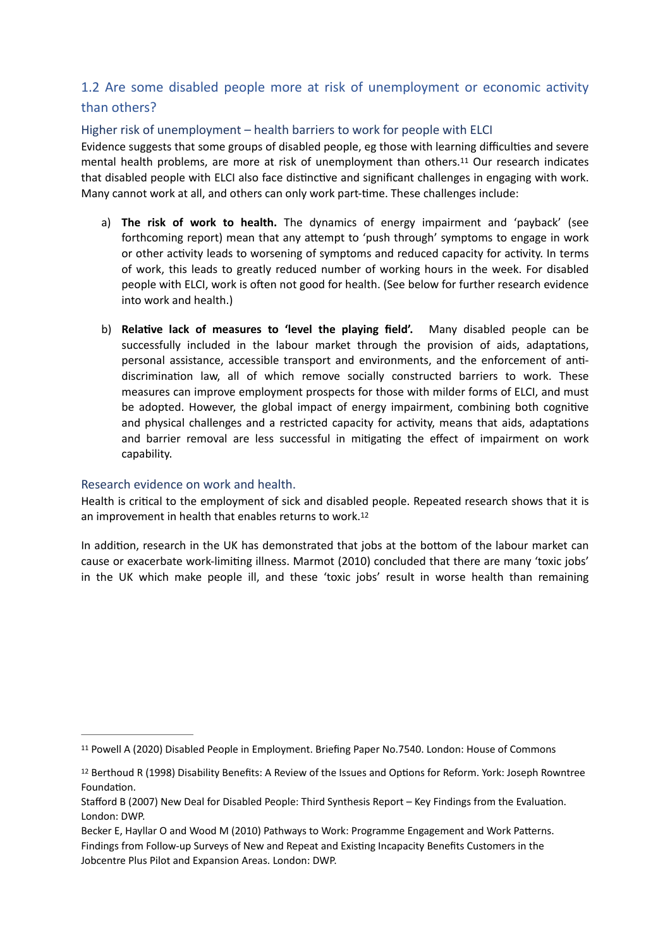# 1.2 Are some disabled people more at risk of unemployment or economic activity than others?

#### Higher risk of unemployment – health barriers to work for people with ELCI

Evidence suggests that some groups of disabled people, eg those with learning difficulties and severe mental health problems, are more at risk of unemployment than others.<sup>[11](#page-3-0)</sup> Our research indicates that disabled people with ELCI also face distinctive and significant challenges in engaging with work. Many cannot work at all, and others can only work part-time. These challenges include:

- <span id="page-3-2"></span>a) **The risk of work to health.** The dynamics of energy impairment and 'payback' (see forthcoming report) mean that any attempt to 'push through' symptoms to engage in work or other activity leads to worsening of symptoms and reduced capacity for activity. In terms of work, this leads to greatly reduced number of working hours in the week. For disabled people with ELCI, work is often not good for health. (See below for further research evidence into work and health.)
- b) **Relative lack of measures to 'level the playing field'.** Many disabled people can be successfully included in the labour market through the provision of aids, adaptations, personal assistance, accessible transport and environments, and the enforcement of antidiscrimination law, all of which remove socially constructed barriers to work. These measures can improve employment prospects for those with milder forms of ELCI, and must be adopted. However, the global impact of energy impairment, combining both cognitive and physical challenges and a restricted capacity for activity, means that aids, adaptations and barrier removal are less successful in mitigating the effect of impairment on work capability.

#### Research evidence on work and health.

<span id="page-3-3"></span>Health is critical to the employment of sick and disabled people. Repeated research shows that it is an improvement in health that enables returns to work[.12](#page-3-1)

In addition, research in the UK has demonstrated that jobs at the bottom of the labour market can cause or exacerbate work-limiting illness. Marmot (2010) concluded that there are many 'toxic jobs' in the UK which make people ill, and these 'toxic jobs' result in worse health than remaining

<span id="page-3-0"></span><sup>&</sup>lt;sup>[11](#page-3-2)</sup> Powell A (2020) Disabled People in Employment. Briefing Paper No.7540. London: House of Commons

<span id="page-3-1"></span><sup>&</sup>lt;sup>12</sup>Berthoud R (1998) Disability Benefits: A Review of the Issues and Options for Reform. York: Joseph Rowntree Foundation.

Stafford B (2007) New Deal for Disabled People: Third Synthesis Report – Key Findings from the Evaluation. London: DWP.

Becker E, Hayllar O and Wood M (2010) Pathways to Work: Programme Engagement and Work Patterns. Findings from Follow-up Surveys of New and Repeat and Existing Incapacity Benefits Customers in the Jobcentre Plus Pilot and Expansion Areas. London: DWP.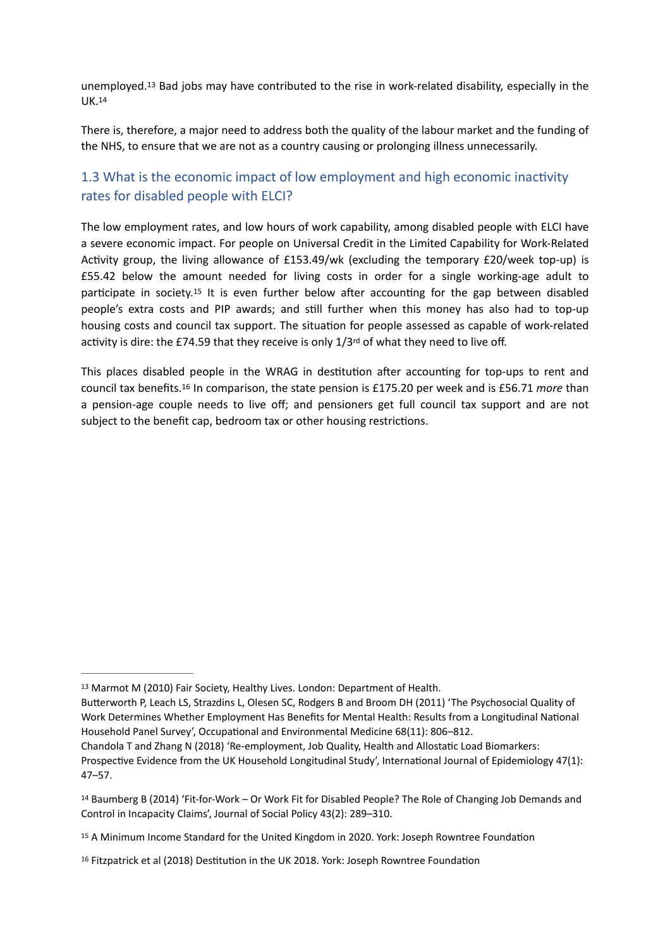<span id="page-4-5"></span><span id="page-4-4"></span>unemployed.<sup>[13](#page-4-0)</sup> Bad jobs may have contributed to the rise in work-related disability, especially in the UK.[14](#page-4-1)

There is, therefore, a major need to address both the quality of the labour market and the funding of the NHS, to ensure that we are not as a country causing or prolonging illness unnecessarily.

# 1.3 What is the economic impact of low employment and high economic inactivity rates for disabled people with ELCI?

<span id="page-4-6"></span>The low employment rates, and low hours of work capability, among disabled people with ELCI have a severe economic impact. For people on Universal Credit in the Limited Capability for Work-Related Activity group, the living allowance of £153.49/wk (excluding the temporary £20/week top-up) is £55.42 below the amount needed for living costs in order for a single working-age adult to participate in society.<sup>[15](#page-4-2)</sup> It is even further below after accounting for the gap between disabled people's extra costs and PIP awards; and still further when this money has also had to top-up housing costs and council tax support. The situation for people assessed as capable of work-related activity is dire: the £74.59 that they receive is only  $1/3^{rd}$  of what they need to live off.

<span id="page-4-7"></span>This places disabled people in the WRAG in destitution after accounting for top-ups to rent and counciltax benefits.<sup>16</sup> In comparison, the state pension is £175.20 per week and is £56.71 *more* than a pension-age couple needs to live off; and pensioners get full council tax support and are not subject to the benefit cap, bedroom tax or other housing restrictions.

<span id="page-4-0"></span>[<sup>13</sup>](#page-4-4) Marmot M (2010) Fair Society, Healthy Lives. London: Department of Health.

Butterworth P, Leach LS, Strazdins L, Olesen SC, Rodgers B and Broom DH (2011) 'The Psychosocial Quality of Work Determines Whether Employment Has Benefits for Mental Health: Results from a Longitudinal National Household Panel Survey', Occupational and Environmental Medicine 68(11): 806–812.

Chandola T and Zhang N (2018) 'Re-employment, Job Quality, Health and Allostatic Load Biomarkers: Prospective Evidence from the UK Household Longitudinal Study', International Journal of Epidemiology 47(1): 47–57.

<span id="page-4-1"></span><sup>&</sup>lt;sup>14</sup>Baumberg B (20[14](#page-4-5)) 'Fit-for-Work – Or Work Fit for Disabled People? The Role of Changing Job Demands and Control in Incapacity Claims', Journal of Social Policy 43(2): 289–310.

<span id="page-4-2"></span>[<sup>15</sup>](#page-4-6) A Minimum Income Standard for the United Kingdom in 2020. York: Joseph Rowntree Foundation

<span id="page-4-3"></span>[<sup>16</sup>](#page-4-7) Fitzpatrick et al (2018) Destitution in the UK 2018. York: Joseph Rowntree Foundation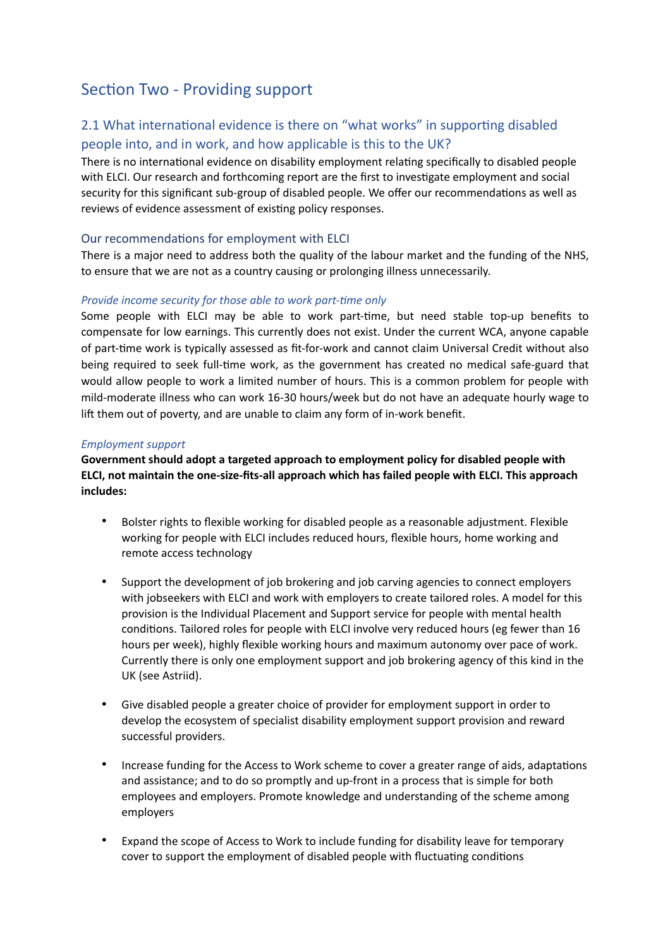# Section Two - Providing support

# 2.1 What international evidence is there on "what works" in supporting disabled people into, and in work, and how applicable is this to the UK?

There is no international evidence on disability employment relating specifically to disabled people with ELCI. Our research and forthcoming report are the first to investigate employment and social security for this significant sub-group of disabled people. We offer our recommendations as well as reviews of evidence assessment of existing policy responses.

#### Our recommendations for employment with ELCI

There is a major need to address both the quality of the labour market and the funding of the NHS, to ensure that we are not as a country causing or prolonging illness unnecessarily.

#### *Provide income security for those able to work part-time only*

Some people with ELCI may be able to work part-time, but need stable top-up benefits to compensate for low earnings. This currently does not exist. Under the current WCA, anyone capable of part-time work is typically assessed as fit-for-work and cannot claim Universal Credit without also being required to seek full-time work, as the government has created no medical safe-guard that would allow people to work a limited number of hours. This is a common problem for people with mild-moderate illness who can work 16-30 hours/week but do not have an adequate hourly wage to lift them out of poverty, and are unable to claim any form of in-work benefit.

#### *Employment support*

**Government should adopt a targeted approach to employment policy for disabled people with ELCI, not maintain the one-size-fits-all approach which has failed people with ELCI. This approach includes:** 

- Bolster rights to flexible working for disabled people as a reasonable adjustment. Flexible working for people with ELCI includes reduced hours, flexible hours, home working and remote access technology
- Support the development of job brokering and job carving agencies to connect employers with jobseekers with ELCI and work with employers to create tailored roles. A model for this provision is the Individual Placement and Support service for people with mental health conditions. Tailored roles for people with ELCI involve very reduced hours (eg fewer than 16 hours per week), highly flexible working hours and maximum autonomy over pace of work. Currently there is only one employment support and job brokering agency of this kind in the UK (see Astriid).
- Give disabled people a greater choice of provider for employment support in order to develop the ecosystem of specialist disability employment support provision and reward successful providers.
- Increase funding for the Access to Work scheme to cover a greater range of aids, adaptations and assistance; and to do so promptly and up-front in a process that is simple for both employees and employers. Promote knowledge and understanding of the scheme among employers
- Expand the scope of Access to Work to include funding for disability leave for temporary cover to support the employment of disabled people with fluctuating conditions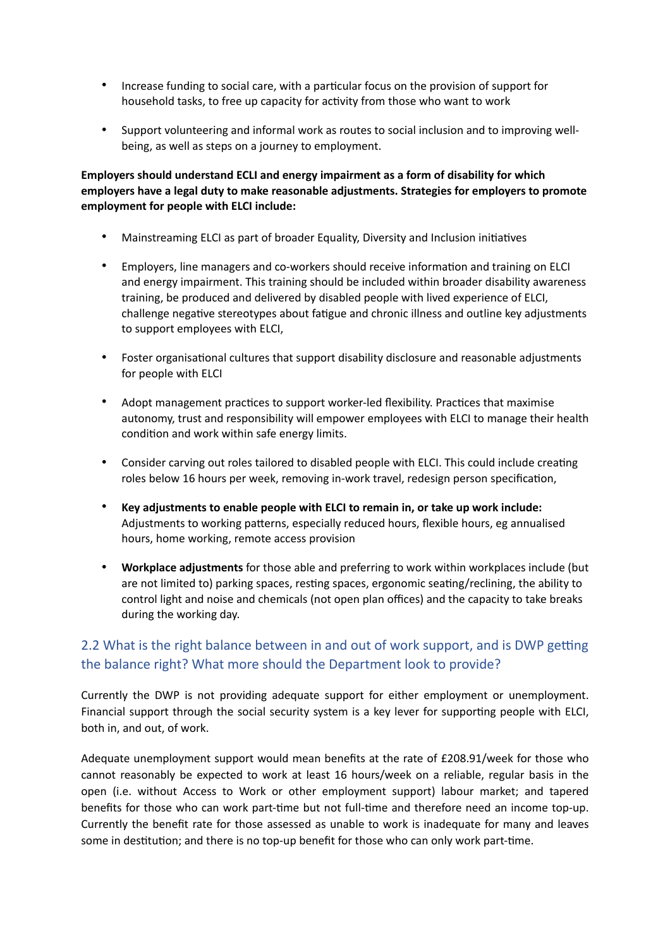- Increase funding to social care, with a particular focus on the provision of support for household tasks, to free up capacity for activity from those who want to work
- Support volunteering and informal work as routes to social inclusion and to improving wellbeing, as well as steps on a journey to employment.

**Employers should understand ECLI and energy impairment as a form of disability for which employers have a legal duty to make reasonable adjustments. Strategies for employers to promote employment for people with ELCI include:**

- Mainstreaming ELCI as part of broader Equality, Diversity and Inclusion initiatives
- Employers, line managers and co-workers should receive information and training on ELCI and energy impairment. This training should be included within broader disability awareness training, be produced and delivered by disabled people with lived experience of ELCI, challenge negative stereotypes about fatigue and chronic illness and outline key adjustments to support employees with ELCI,
- Foster organisational cultures that support disability disclosure and reasonable adjustments for people with ELCI
- Adopt management practices to support worker-led flexibility. Practices that maximise autonomy, trust and responsibility will empower employees with ELCI to manage their health condition and work within safe energy limits.
- Consider carving out roles tailored to disabled people with ELCI. This could include creating roles below 16 hours per week, removing in-work travel, redesign person specification,
- **Key adjustments to enable people with ELCI to remain in, or take up work include:** Adjustments to working patterns, especially reduced hours, flexible hours, eg annualised hours, home working, remote access provision
- **Workplace adjustments** for those able and preferring to work within workplaces include (but are not limited to) parking spaces, resting spaces, ergonomic seating/reclining, the ability to control light and noise and chemicals (not open plan offices) and the capacity to take breaks during the working day.

# 2.2 What is the right balance between in and out of work support, and is DWP getting the balance right? What more should the Department look to provide?

Currently the DWP is not providing adequate support for either employment or unemployment. Financial support through the social security system is a key lever for supporting people with ELCI, both in, and out, of work.

Adequate unemployment support would mean benefits at the rate of £208.91/week for those who cannot reasonably be expected to work at least 16 hours/week on a reliable, regular basis in the open (i.e. without Access to Work or other employment support) labour market; and tapered benefits for those who can work part-time but not full-time and therefore need an income top-up. Currently the benefit rate for those assessed as unable to work is inadequate for many and leaves some in destitution; and there is no top-up benefit for those who can only work part-time.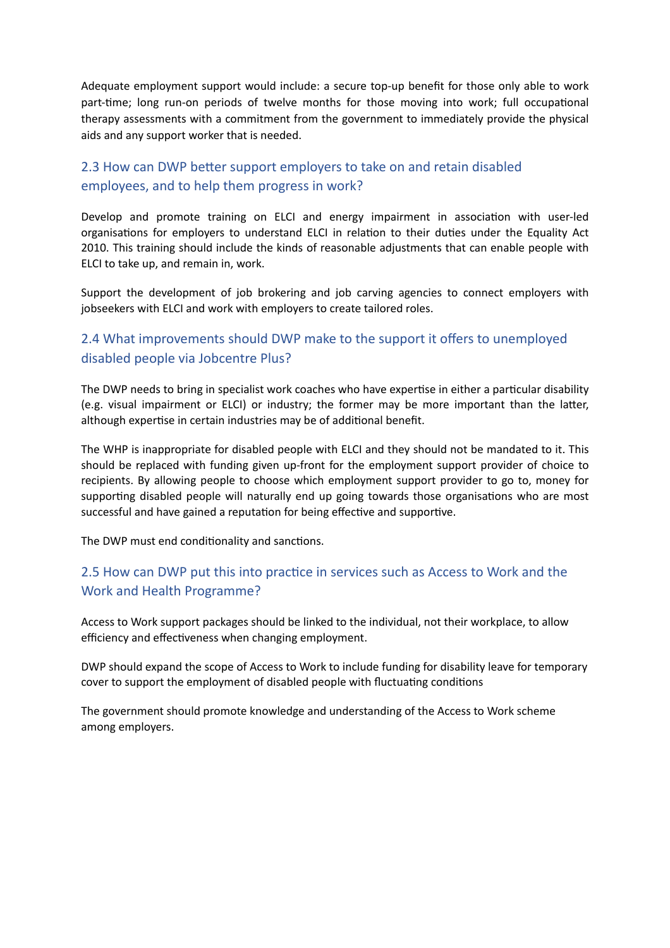Adequate employment support would include: a secure top-up benefit for those only able to work part-time; long run-on periods of twelve months for those moving into work; full occupational therapy assessments with a commitment from the government to immediately provide the physical aids and any support worker that is needed.

# 2.3 How can DWP better support employers to take on and retain disabled employees, and to help them progress in work?

Develop and promote training on ELCI and energy impairment in association with user-led organisations for employers to understand ELCI in relation to their duties under the Equality Act 2010. This training should include the kinds of reasonable adjustments that can enable people with ELCI to take up, and remain in, work.

Support the development of job brokering and job carving agencies to connect employers with jobseekers with ELCI and work with employers to create tailored roles.

### 2.4 What improvements should DWP make to the support it offers to unemployed disabled people via Jobcentre Plus?

The DWP needs to bring in specialist work coaches who have expertise in either a particular disability (e.g. visual impairment or ELCI) or industry; the former may be more important than the latter, although expertise in certain industries may be of additional benefit.

The WHP is inappropriate for disabled people with ELCI and they should not be mandated to it. This should be replaced with funding given up-front for the employment support provider of choice to recipients. By allowing people to choose which employment support provider to go to, money for supporting disabled people will naturally end up going towards those organisations who are most successful and have gained a reputation for being effective and supportive.

The DWP must end conditionality and sanctions.

# 2.5 How can DWP put this into practice in services such as Access to Work and the Work and Health Programme?

Access to Work support packages should be linked to the individual, not their workplace, to allow efficiency and effectiveness when changing employment.

DWP should expand the scope of Access to Work to include funding for disability leave for temporary cover to support the employment of disabled people with fluctuating conditions

The government should promote knowledge and understanding of the Access to Work scheme among employers.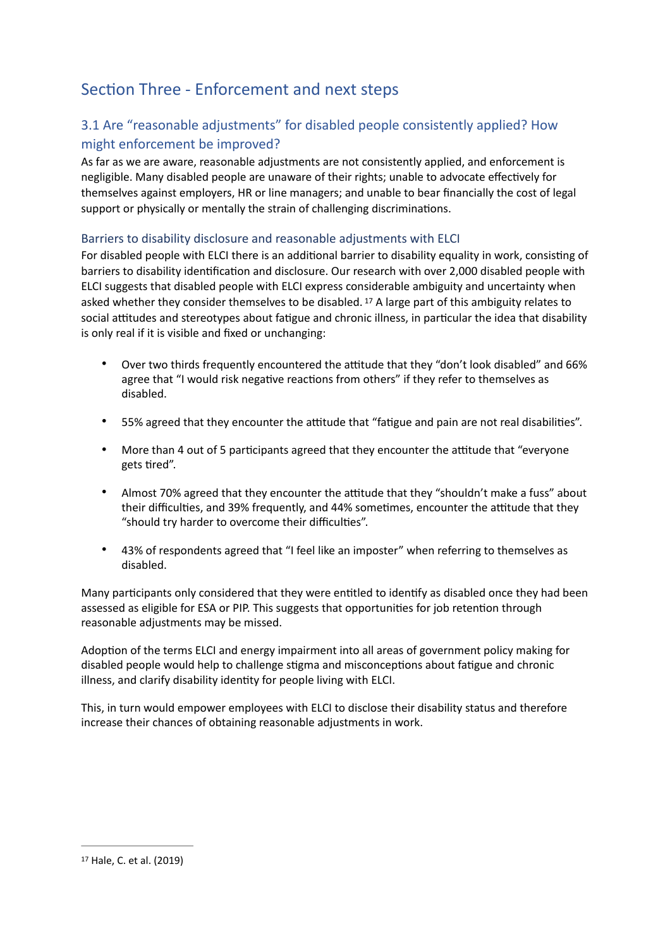# Section Three - Enforcement and next steps

# 3.1 Are "reasonable adjustments" for disabled people consistently applied? How might enforcement be improved?

As far as we are aware, reasonable adjustments are not consistently applied, and enforcement is negligible. Many disabled people are unaware of their rights; unable to advocate effectively for themselves against employers, HR or line managers; and unable to bear financially the cost of legal support or physically or mentally the strain of challenging discriminations.

#### Barriers to disability disclosure and reasonable adjustments with ELCI

For disabled people with ELCI there is an additional barrier to disability equality in work, consisting of barriers to disability identification and disclosure. Our research with over 2,000 disabled people with ELCI suggests that disabled people with ELCI express considerable ambiguity and uncertainty when asked whether they consider themselves to be disabled.  $17$  A large part of this ambiguity relates to social attitudes and stereotypes about fatigue and chronic illness, in particular the idea that disability is only real if it is visible and fixed or unchanging:

- <span id="page-8-1"></span>• Over two thirds frequently encountered the attitude that they "don't look disabled" and 66% agree that "I would risk negative reactions from others" if they refer to themselves as disabled.
- 55% agreed that they encounter the attitude that "fatigue and pain are not real disabilities".
- More than 4 out of 5 participants agreed that they encounter the attitude that "everyone" gets tired".
- Almost 70% agreed that they encounter the attitude that they "shouldn't make a fuss" about their difficulties, and 39% frequently, and 44% sometimes, encounter the attitude that they "should try harder to overcome their difficulties".
- 43% of respondents agreed that "I feel like an imposter" when referring to themselves as disabled.

Many participants only considered that they were entitled to identify as disabled once they had been assessed as eligible for ESA or PIP. This suggests that opportunities for job retention through reasonable adjustments may be missed.

Adoption of the terms ELCI and energy impairment into all areas of government policy making for disabled people would help to challenge stigma and misconceptions about fatigue and chronic illness, and clarify disability identity for people living with ELCI.

This, in turn would empower employees with ELCI to disclose their disability status and therefore increase their chances of obtaining reasonable adjustments in work.

<span id="page-8-0"></span>[<sup>17</sup>](#page-8-1) Hale, C. et al. (2019)